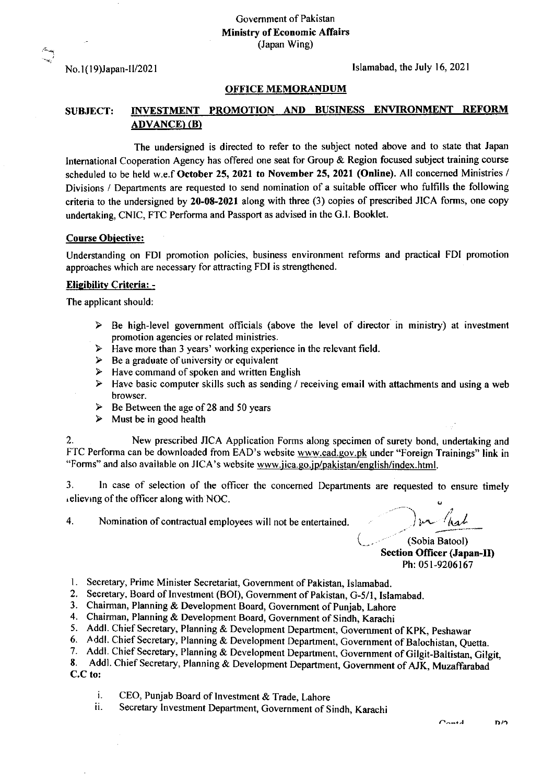Government of Pakistan Ministry of Economic Affairs (Japan Wing)

No. l(19)Japan-ll/202 I

Islamabad, the July 16,2021

## OFFICE MEMORANDUM

## SUBJECT: INVESTMENT PROMOTION AND BUSINESS ENVIRONMENT REFORM ADVANCE) (B)

The undersigned is directed to refer to the subject noted above and to state that Japan International Cooperation Agency has offered one seat for Group & Region focused subject training course scheduled to be held w.e.f October 25, 2021 to November 25, 2021 (Online). All concerned Ministries / Divisions / Departments are requested to send nomination of a suitable officer who fulfills the following criteria to the undersigned by 20-08-2021 along with three (3) copies of prescribed JICA forms, one copy undertaking, CNIC, FTC Performa and Passport as advised in the G.l. Booklet.

## Course Obiective:

Understanding on FDI promotion policies, business environment reforms and practical FDI promotion approaches which are necessary for attracting FDI is strengthened.

## Eliqibilitv Criteria: -

The applicant should:

- ! Be high-level government officials (above the level of director in ministry) at investment promotion agencies or related ministries.
- $\triangleright$  Have more than 3 years' working experience in the relevant field.
- $\geq$  Be a graduate of university or equivalent  $\geq$  Have command of spoken and written En
- Have command of spoken and written English
- $\triangleright$  Have basic computer skills such as sending / receiving email with attachments and using a web browser.
- $\triangleright$  Be Between the age of 28 and 50 years
- $\triangleright$  Must be in good health

2. New prescribed JICA Application Forms along specimen of surety bond, undertaking and FTC Performa can be downloaded from EAD's website www.ead.gov.pk under "Foreign Trainings" link in "Forms" and also available on JICA's website www.jica.go.jp/pakistan/english/index.html.

3. ln case of selection of the officer the concemed Departments are requested to ensure timely .elievrng of the officer along with NOC.

4. Nomination of contractual employees will not be entertained

24...- hat

 $\big($ 

(Sobia Batool) Section Officer (Japan-II) Ph:051-9206167

- 1. Secretary, Prime Minister Secretariat, Government of Pakistan, Islamabad.
- 2. Secretary, Board of Investment (BOI), Government of Pakistan, G-5/1, Islamabad
- 3. Chairman, Planning & Development Board, Government of Punjab, Lahore
- 4. Chairman, Planning & Development Board, Government of Sindh, Karachi
- 5. Addl. Chief Secretary, Planning & Development Department, Government of KPK, Peshawar
- 6. Addl. Chief Secretary, Planning & Development Department, Government of Balochistan, Quetta.
- 6. Addl. Chief Secretary, Planning & Development Department, Government of Balochistan, Quetta.<br>7. Addl. Chief Secretary, Planning & Development Department, Government of Gilgit-Baltistan, Gilgit,

Addl. Chief Secretary, Planning & Development Department, Government of AJK, Muzaffarabad  $C.C$  to: 8.

i. CEO, Punjab Board of Investment & Trade, Lahore<br>ii. Secretary Investment Department, Government of Sindh, Karachi